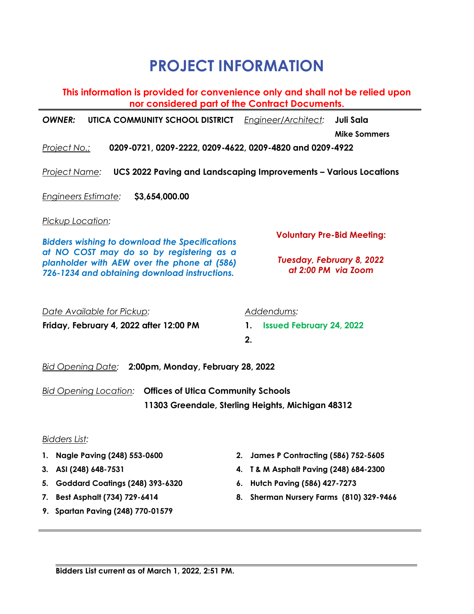## **PROJECT INFORMATION**

| This information is provided for convenience only and shall not be relied upon<br>nor considered part of the Contract Documents.         |                                                                          |    |                                                  |                     |  |
|------------------------------------------------------------------------------------------------------------------------------------------|--------------------------------------------------------------------------|----|--------------------------------------------------|---------------------|--|
|                                                                                                                                          | <b>OWNER:</b><br>UTICA COMMUNITY SCHOOL DISTRICT                         |    | Engineer/Architect:                              | Juli Sala           |  |
|                                                                                                                                          |                                                                          |    |                                                  | <b>Mike Sommers</b> |  |
|                                                                                                                                          | 0209-0721, 0209-2222, 0209-4622, 0209-4820 and 0209-4922<br>Project No.: |    |                                                  |                     |  |
| <b>UCS 2022 Paving and Landscaping Improvements - Various Locations</b><br><u> Project Name:</u>                                         |                                                                          |    |                                                  |                     |  |
|                                                                                                                                          | Engineers Estimate:<br>\$3,654,000.00                                    |    |                                                  |                     |  |
|                                                                                                                                          | <u>Pickup Location:</u>                                                  |    |                                                  |                     |  |
| <b>Bidders wishing to download the Specifications</b>                                                                                    |                                                                          |    | <b>Voluntary Pre-Bid Meeting:</b>                |                     |  |
| at NO COST may do so by registering as a<br>planholder with AEW over the phone at (586)<br>726-1234 and obtaining download instructions. |                                                                          |    | Tuesday, February 8, 2022<br>at 2:00 PM via Zoom |                     |  |
| Date Available for Pickup:<br>Addendums:                                                                                                 |                                                                          |    |                                                  |                     |  |
|                                                                                                                                          | Friday, February 4, 2022 after 12:00 PM                                  |    | <b>Issued February 24, 2022</b><br>1.<br>2.      |                     |  |
| 2:00pm, Monday, February 28, 2022<br><u> Bid Opening Date:</u>                                                                           |                                                                          |    |                                                  |                     |  |
| <b>Bid Opening Location:</b><br><b>Offices of Utica Community Schools</b><br>11303 Greendale, Sterling Heights, Michigan 48312           |                                                                          |    |                                                  |                     |  |
|                                                                                                                                          | <b>Bidders List:</b>                                                     |    |                                                  |                     |  |
| 1.                                                                                                                                       | Nagle Paving (248) 553-0600                                              | 2. | <b>James P Contracting (586) 752-5605</b>        |                     |  |
| 3.                                                                                                                                       | ASI (248) 648-7531                                                       | 4. | T & M Asphalt Paving (248) 684-2300              |                     |  |
| 5.                                                                                                                                       | Goddard Coatings (248) 393-6320                                          | 6. | Hutch Paving (586) 427-7273                      |                     |  |
| 7.                                                                                                                                       | Best Asphalt (734) 729-6414                                              |    | 8. Sherman Nursery Farms (810) 329-9466          |                     |  |

**9. Spartan Paving (248) 770-01579**

 $\blacksquare$